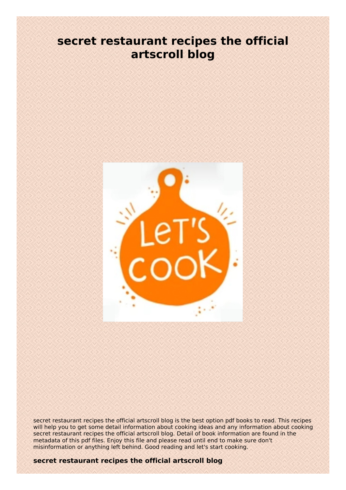## **secret restaurant recipes the official artscroll blog**



secret restaurant recipes the official artscroll blog is the best option pdf books to read. This recipes will help you to get some detail information about cooking ideas and any information about cooking secret restaurant recipes the official artscroll blog. Detail of book information are found in the metadata of this pdf files. Enjoy this file and please read until end to make sure don't misinformation or anything left behind. Good reading and let's start cooking.

## **secret restaurant recipes the official artscroll blog**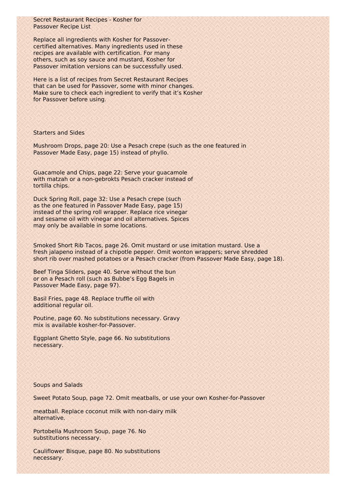Secret Restaurant Recipes - Kosher for Passover Recipe List

Replace all ingredients with Kosher for Passovercertified alternatives. Many ingredients used in these recipes are available with certification. For many others, such as soy sauce and mustard, Kosher for Passover imitation versions can be successfully used.

Here is a list of recipes from Secret Restaurant Recipes that can be used for Passover, some with minor changes. Make sure to check each ingredient to verify that it's Kosher for Passover before using.

## Starters and Sides

Mushroom Drops, page 20: Use a Pesach crepe (such as the one featured in Passover Made Easy, page 15) instead of phyllo.

Guacamole and Chips, page 22: Serve your guacamole with matzah or a non-gebrokts Pesach cracker instead of tortilla chips.

Duck Spring Roll, page 32: Use a Pesach crepe (such as the one featured in Passover Made Easy, page 15) instead of the spring roll wrapper. Replace rice vinegar and sesame oil with vinegar and oil alternatives. Spices may only be available in some locations.

Smoked Short Rib Tacos, page 26. Omit mustard or use imitation mustard. Use a fresh jalapeno instead of a chipotle pepper. Omit wonton wrappers; serve shredded short rib over mashed potatoes or a Pesach cracker (from Passover Made Easy, page 18).

Beef Tinga Sliders, page 40. Serve without the bun or on a Pesach roll (such as Bubbe's Egg Bagels in Passover Made Easy, page 97).

Basil Fries, page 48. Replace truffle oil with additional regular oil.

Poutine, page 60. No substitutions necessary. Gravy mix is available kosher-for-Passover.

Eggplant Ghetto Style, page 66. No substitutions necessary.

## Soups and Salads

Sweet Potato Soup, page 72. Omit meatballs, or use your own Kosher-for-Passover

meatball. Replace coconut milk with non-dairy milk alternative.

Portobella Mushroom Soup, page 76. No substitutions necessary.

Cauliflower Bisque, page 80. No substitutions necessary.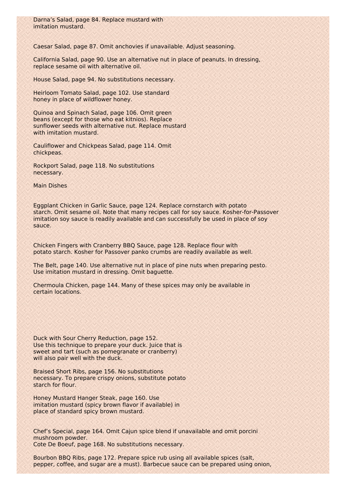Caesar Salad, page 87. Omit anchovies if unavailable. Adjust seasoning.

California Salad, page 90. Use an alternative nut in place of peanuts. In dressing, replace sesame oil with alternative oil.

House Salad, page 94. No substitutions necessary.

Heirloom Tomato Salad, page 102. Use standard honey in place of wildflower honey.

Quinoa and Spinach Salad, page 106. Omit green beans (except for those who eat kitnios). Replace sunflower seeds with alternative nut. Replace mustard with imitation mustard.

Cauliflower and Chickpeas Salad, page 114. Omit chickpeas.

Rockport Salad, page 118. No substitutions necessary.

Main Dishes

Eggplant Chicken in Garlic Sauce, page 124. Replace cornstarch with potato starch. Omit sesame oil. Note that many recipes call for soy sauce. Kosher-for-Passover imitation soy sauce is readily available and can successfully be used in place of soy sauce.

Chicken Fingers with Cranberry BBQ Sauce, page 128. Replace flour with potato starch. Kosher for Passover panko crumbs are readily available as well.

The Belt, page 140. Use alternative nut in place of pine nuts when preparing pesto. Use imitation mustard in dressing. Omit baguette.

Chermoula Chicken, page 144. Many of these spices may only be available in certain locations.

Duck with Sour Cherry Reduction, page 152. Use this technique to prepare your duck. Juice that is sweet and tart (such as pomegranate or cranberry) will also pair well with the duck.

Braised Short Ribs, page 156. No substitutions necessary. To prepare crispy onions, substitute potato starch for flour.

Honey Mustard Hanger Steak, page 160. Use imitation mustard (spicy brown flavor if available) in place of standard spicy brown mustard.

Chef's Special, page 164. Omit Cajun spice blend if unavailable and omit porcini mushroom powder. Cote De Boeuf, page 168. No substitutions necessary.

Bourbon BBQ Ribs, page 172. Prepare spice rub using all available spices (salt, pepper, coffee, and sugar are a must). Barbecue sauce can be prepared using onion,